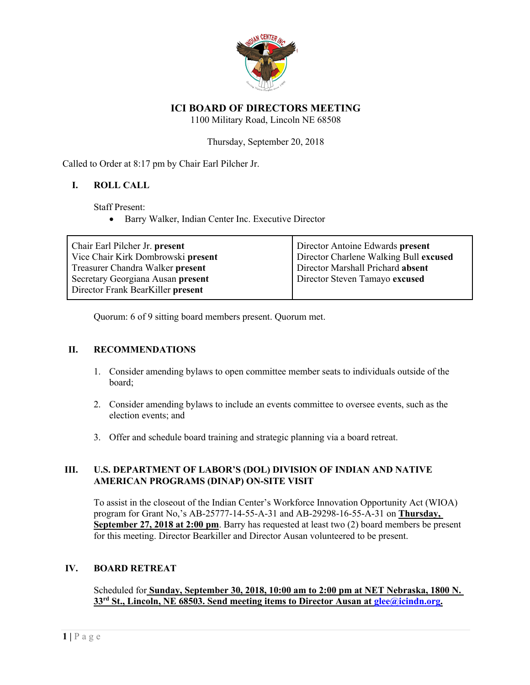

# **ICI BOARD OF DIRECTORS MEETING**

1100 Military Road, Lincoln NE 68508

Thursday, September 20, 2018

Called to Order at 8:17 pm by Chair Earl Pilcher Jr.

## **I. ROLL CALL**

Staff Present:

• Barry Walker, Indian Center Inc. Executive Director

| Chair Earl Pilcher Jr. present<br>Vice Chair Kirk Dombrowski present | Director Antoine Edwards present<br>Director Charlene Walking Bull excused |
|----------------------------------------------------------------------|----------------------------------------------------------------------------|
| Treasurer Chandra Walker present                                     | Director Marshall Prichard absent                                          |
| Secretary Georgiana Ausan present                                    | Director Steven Tamayo excused                                             |
| Director Frank BearKiller present                                    |                                                                            |

Quorum: 6 of 9 sitting board members present. Quorum met.

#### **II. RECOMMENDATIONS**

- 1. Consider amending bylaws to open committee member seats to individuals outside of the board;
- 2. Consider amending bylaws to include an events committee to oversee events, such as the election events; and
- 3. Offer and schedule board training and strategic planning via a board retreat.

## **III. U.S. DEPARTMENT OF LABOR'S (DOL) DIVISION OF INDIAN AND NATIVE AMERICAN PROGRAMS (DINAP) ON-SITE VISIT**

To assist in the closeout of the Indian Center's Workforce Innovation Opportunity Act (WIOA) program for Grant No,'s AB-25777-14-55-A-31 and AB-29298-16-55-A-31 on **Thursday, September 27, 2018 at 2:00 pm.** Barry has requested at least two (2) board members be present for this meeting. Director Bearkiller and Director Ausan volunteered to be present.

#### **IV. BOARD RETREAT**

Scheduled for **Sunday, September 30, 2018, 10:00 am to 2:00 pm at NET Nebraska, 1800 N. 33rd St., Lincoln, NE 68503. Send meeting items to Director Ausan at glee@icindn.org.**